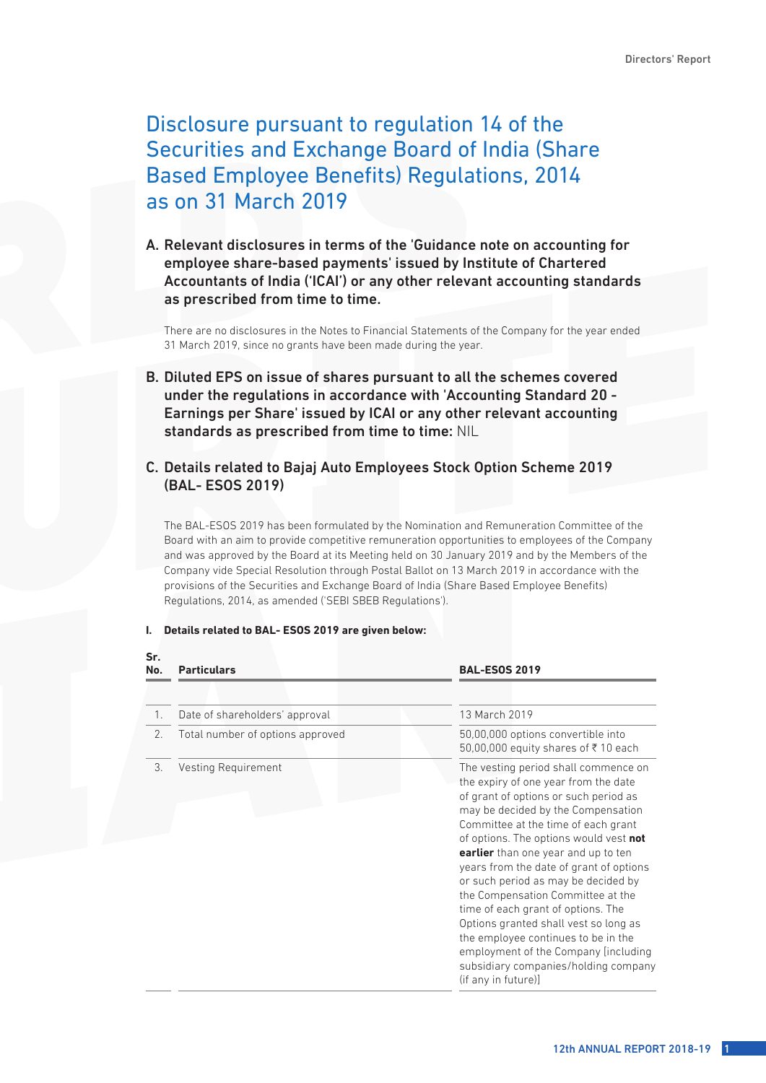# Disclosure pursuant to regulation 14 of the Securities and Exchange Board of India (Share Based Employee Benefits) Regulations, 2014 as on 31 March 2019

A. Relevant disclosures in terms of the 'Guidance note on accounting for employee share-based payments' issued by Institute of Chartered Accountants of India ('ICAI') or any other relevant accounting standards as prescribed from time to time.

 There are no disclosures in the Notes to Financial Statements of the Company for the year ended 31 March 2019, since no grants have been made during the year.

B. Diluted EPS on issue of shares pursuant to all the schemes covered under the regulations in accordance with 'Accounting Standard 20 - Earnings per Share' issued by ICAI or any other relevant accounting standards as prescribed from time to time: NIL

# C. Details related to Bajaj Auto Employees Stock Option Scheme 2019 (BAL- ESOS 2019)

 The BAL-ESOS 2019 has been formulated by the Nomination and Remuneration Committee of the Board with an aim to provide competitive remuneration opportunities to employees of the Company and was approved by the Board at its Meeting held on 30 January 2019 and by the Members of the Company vide Special Resolution through Postal Ballot on 13 March 2019 in accordance with the provisions of the Securities and Exchange Board of India (Share Based Employee Benefits) Regulations, 2014, as amended ('SEBI SBEB Regulations').

#### **I. Details related to BAL- ESOS 2019 are given below:**

**Sr.** 

| No. | <b>Particulars</b>               | <b>BAL-ESOS 2019</b>                                                                                                                                                                                                                                                                                                                                                                                                                                                                                                                                                                                                                     |
|-----|----------------------------------|------------------------------------------------------------------------------------------------------------------------------------------------------------------------------------------------------------------------------------------------------------------------------------------------------------------------------------------------------------------------------------------------------------------------------------------------------------------------------------------------------------------------------------------------------------------------------------------------------------------------------------------|
|     |                                  |                                                                                                                                                                                                                                                                                                                                                                                                                                                                                                                                                                                                                                          |
| 1.  | Date of shareholders' approval   | 13 March 2019                                                                                                                                                                                                                                                                                                                                                                                                                                                                                                                                                                                                                            |
| 2.  | Total number of options approved | 50,00,000 options convertible into<br>50,00,000 equity shares of ₹10 each                                                                                                                                                                                                                                                                                                                                                                                                                                                                                                                                                                |
| 3.  | Vesting Requirement              | The vesting period shall commence on<br>the expiry of one year from the date<br>of grant of options or such period as<br>may be decided by the Compensation<br>Committee at the time of each grant<br>of options. The options would vest not<br>earlier than one year and up to ten<br>years from the date of grant of options<br>or such period as may be decided by<br>the Compensation Committee at the<br>time of each grant of options. The<br>Options granted shall vest so long as<br>the employee continues to be in the<br>employment of the Company [including]<br>subsidiary companies/holding company<br>(if any in future)] |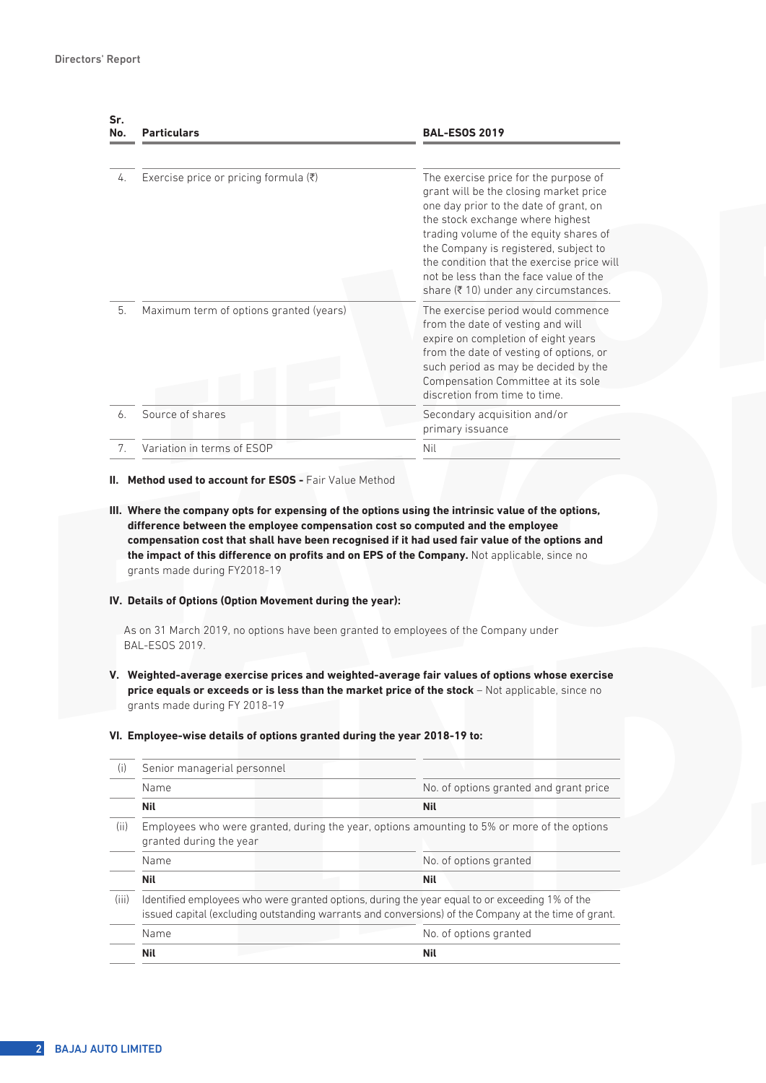| Sr.<br>No. | <b>Particulars</b>                                | <b>BAL-ESOS 2019</b>                                                                                                                                                                                            |
|------------|---------------------------------------------------|-----------------------------------------------------------------------------------------------------------------------------------------------------------------------------------------------------------------|
| 4.         | Exercise price or pricing formula $(\bar{\zeta})$ | The exercise price for the purpose of<br>grant will be the closing market price<br>one day prior to the date of grant, on<br>the stock exchange where highest                                                   |
|            |                                                   | trading volume of the equity shares of<br>the Company is registered, subject to<br>the condition that the exercise price will<br>not be less than the face value of the<br>share (₹10) under any circumstances. |
| 5.         | Maximum term of options granted (years)           | The exercise period would commence<br>from the date of vesting and will<br>expire on completion of eight years<br>from the date of vesting of options, or                                                       |
|            |                                                   | such period as may be decided by the<br>Compensation Committee at its sole<br>discretion from time to time                                                                                                      |
| 6.         | Source of shares                                  | Secondary acquisition and/or<br>primary issuance                                                                                                                                                                |
| 7.         | Variation in terms of ESOP                        | Nil                                                                                                                                                                                                             |

#### **II. Method used to account for ESOS - Fair Value Method**

**III. Where the company opts for expensing of the options using the intrinsic value of the options, difference between the employee compensation cost so computed and the employee compensation cost that shall have been recognised if it had used fair value of the options and the impact of this difference on profits and on EPS of the Company.** Not applicable, since no grants made during FY2018-19

#### **IV. Details of Options (Option Movement during the year):**

As on 31 March 2019, no options have been granted to employees of the Company under BAL-ESOS 2019.

**V. Weighted-average exercise prices and weighted-average fair values of options whose exercise price equals or exceeds or is less than the market price of the stock** – Not applicable, since no grants made during FY 2018-19

| (i)   | Senior managerial personnel |                                                                                                                                                                                                        |                                                                                             |
|-------|-----------------------------|--------------------------------------------------------------------------------------------------------------------------------------------------------------------------------------------------------|---------------------------------------------------------------------------------------------|
|       | Name                        |                                                                                                                                                                                                        | No. of options granted and grant price                                                      |
|       | <b>Nil</b>                  |                                                                                                                                                                                                        | <b>Nil</b>                                                                                  |
| (ii)  | granted during the year     |                                                                                                                                                                                                        | Employees who were granted, during the year, options amounting to 5% or more of the options |
|       | Name                        |                                                                                                                                                                                                        | No. of options granted                                                                      |
|       | <b>Nil</b>                  |                                                                                                                                                                                                        | <b>Nil</b>                                                                                  |
| (iii) |                             | Identified employees who were granted options, during the year equal to or exceeding 1% of the<br>issued capital (excluding outstanding warrants and conversions) of the Company at the time of grant. |                                                                                             |
|       | Name                        |                                                                                                                                                                                                        | No. of options granted                                                                      |
|       | <b>Nil</b>                  |                                                                                                                                                                                                        | <b>Nil</b>                                                                                  |

#### **VI. Employee-wise details of options granted during the year 2018-19 to:**